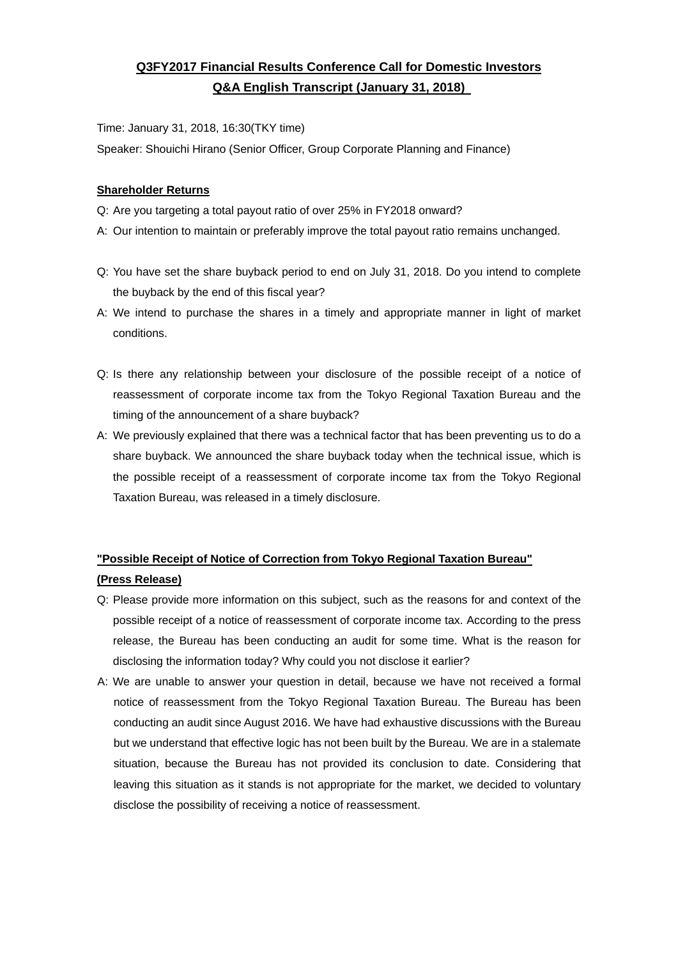## **Q3FY2017 Financial Results Conference Call for Domestic Investors Q&A English Transcript (January 31, 2018)**

Time: January 31, 2018, 16:30(TKY time)

Speaker: Shouichi Hirano (Senior Officer, Group Corporate Planning and Finance)

### **Shareholder Returns**

- Q: Are you targeting a total payout ratio of over 25% in FY2018 onward?
- A: Our intention to maintain or preferably improve the total payout ratio remains unchanged.
- Q: You have set the share buyback period to end on July 31, 2018. Do you intend to complete the buyback by the end of this fiscal year?
- A: We intend to purchase the shares in a timely and appropriate manner in light of market conditions.
- Q: Is there any relationship between your disclosure of the possible receipt of a notice of reassessment of corporate income tax from the Tokyo Regional Taxation Bureau and the timing of the announcement of a share buyback?
- A: We previously explained that there was a technical factor that has been preventing us to do a share buyback. We announced the share buyback today when the technical issue, which is the possible receipt of a reassessment of corporate income tax from the Tokyo Regional Taxation Bureau, was released in a timely disclosure.

## **"Possible Receipt of Notice of Correction from Tokyo Regional Taxation Bureau" (Press Release)**

- Q: Please provide more information on this subject, such as the reasons for and context of the possible receipt of a notice of reassessment of corporate income tax. According to the press release, the Bureau has been conducting an audit for some time. What is the reason for disclosing the information today? Why could you not disclose it earlier?
- A: We are unable to answer your question in detail, because we have not received a formal notice of reassessment from the Tokyo Regional Taxation Bureau. The Bureau has been conducting an audit since August 2016. We have had exhaustive discussions with the Bureau but we understand that effective logic has not been built by the Bureau. We are in a stalemate situation, because the Bureau has not provided its conclusion to date. Considering that leaving this situation as it stands is not appropriate for the market, we decided to voluntary disclose the possibility of receiving a notice of reassessment.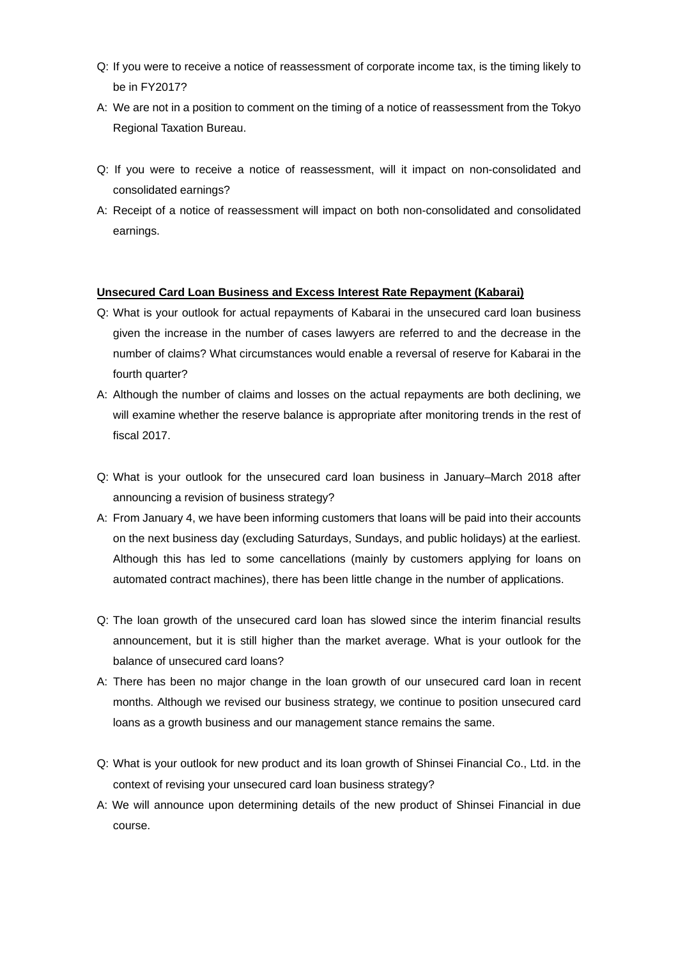- Q: If you were to receive a notice of reassessment of corporate income tax, is the timing likely to be in FY2017?
- A: We are not in a position to comment on the timing of a notice of reassessment from the Tokyo Regional Taxation Bureau.
- Q: If you were to receive a notice of reassessment, will it impact on non-consolidated and consolidated earnings?
- A: Receipt of a notice of reassessment will impact on both non-consolidated and consolidated earnings.

#### **Unsecured Card Loan Business and Excess Interest Rate Repayment (Kabarai)**

- Q: What is your outlook for actual repayments of Kabarai in the unsecured card loan business given the increase in the number of cases lawyers are referred to and the decrease in the number of claims? What circumstances would enable a reversal of reserve for Kabarai in the fourth quarter?
- A: Although the number of claims and losses on the actual repayments are both declining, we will examine whether the reserve balance is appropriate after monitoring trends in the rest of fiscal 2017.
- Q: What is your outlook for the unsecured card loan business in January–March 2018 after announcing a revision of business strategy?
- A: From January 4, we have been informing customers that loans will be paid into their accounts on the next business day (excluding Saturdays, Sundays, and public holidays) at the earliest. Although this has led to some cancellations (mainly by customers applying for loans on automated contract machines), there has been little change in the number of applications.
- Q: The loan growth of the unsecured card loan has slowed since the interim financial results announcement, but it is still higher than the market average. What is your outlook for the balance of unsecured card loans?
- A: There has been no major change in the loan growth of our unsecured card loan in recent months. Although we revised our business strategy, we continue to position unsecured card loans as a growth business and our management stance remains the same.
- Q: What is your outlook for new product and its loan growth of Shinsei Financial Co., Ltd. in the context of revising your unsecured card loan business strategy?
- A: We will announce upon determining details of the new product of Shinsei Financial in due course.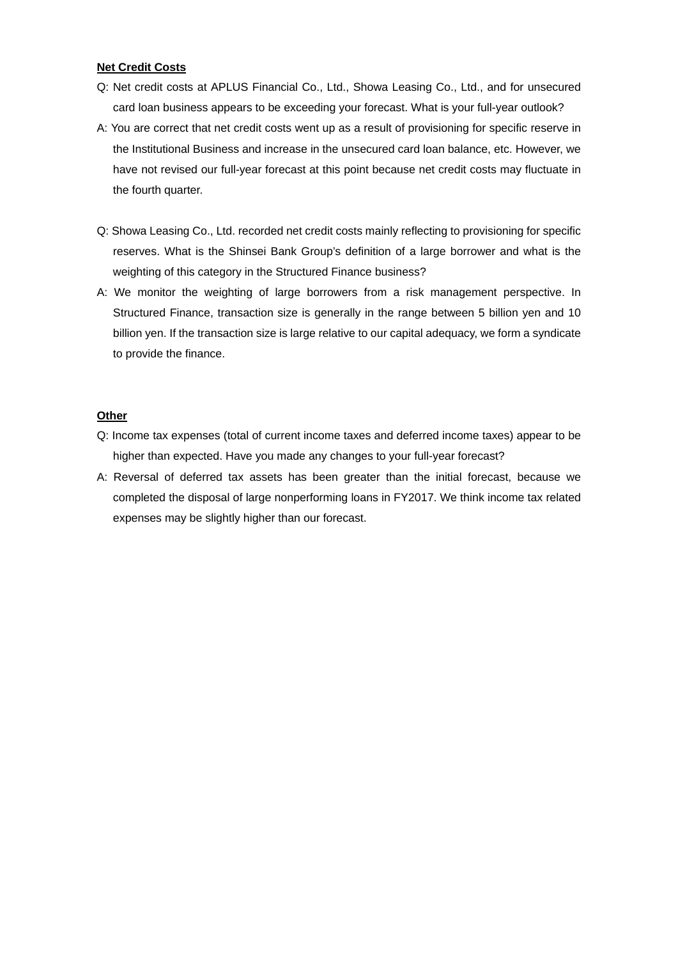### **Net Credit Costs**

- Q: Net credit costs at APLUS Financial Co., Ltd., Showa Leasing Co., Ltd., and for unsecured card loan business appears to be exceeding your forecast. What is your full-year outlook?
- A: You are correct that net credit costs went up as a result of provisioning for specific reserve in the Institutional Business and increase in the unsecured card loan balance, etc. However, we have not revised our full-year forecast at this point because net credit costs may fluctuate in the fourth quarter.
- Q: Showa Leasing Co., Ltd. recorded net credit costs mainly reflecting to provisioning for specific reserves. What is the Shinsei Bank Group's definition of a large borrower and what is the weighting of this category in the Structured Finance business?
- A: We monitor the weighting of large borrowers from a risk management perspective. In Structured Finance, transaction size is generally in the range between 5 billion yen and 10 billion yen. If the transaction size is large relative to our capital adequacy, we form a syndicate to provide the finance.

#### **Other**

- Q: Income tax expenses (total of current income taxes and deferred income taxes) appear to be higher than expected. Have you made any changes to your full-year forecast?
- A: Reversal of deferred tax assets has been greater than the initial forecast, because we completed the disposal of large nonperforming loans in FY2017. We think income tax related expenses may be slightly higher than our forecast.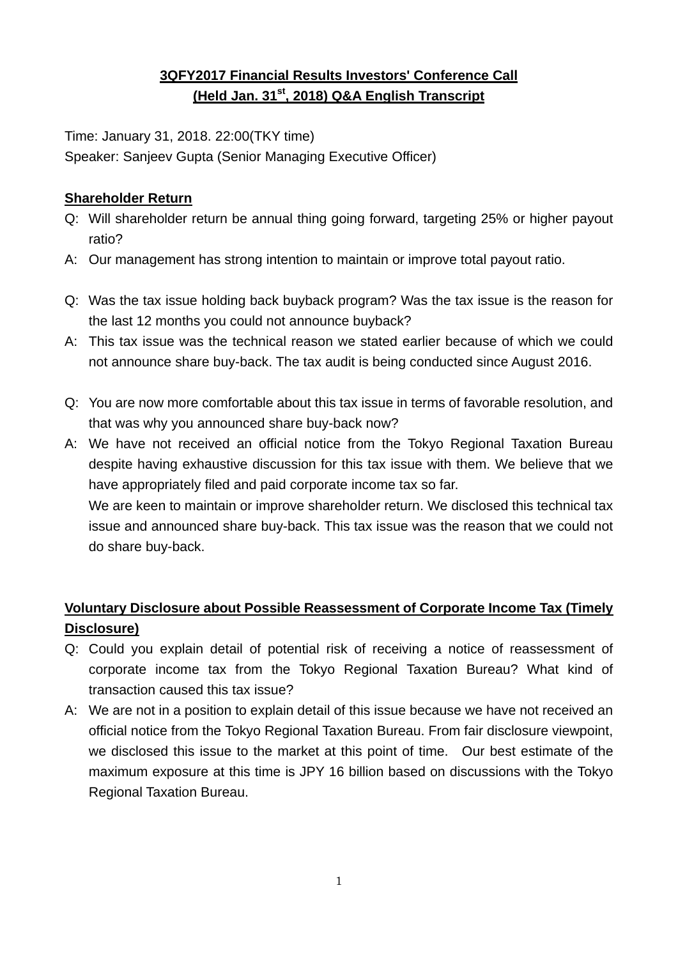# **3QFY2017 Financial Results Investors' Conference Call (Held Jan. 31st, 2018) Q&A English Transcript**

Time: January 31, 2018. 22:00(TKY time)

Speaker: Sanjeev Gupta (Senior Managing Executive Officer)

## **Shareholder Return**

- Q: Will shareholder return be annual thing going forward, targeting 25% or higher payout ratio?
- A: Our management has strong intention to maintain or improve total payout ratio.
- Q: Was the tax issue holding back buyback program? Was the tax issue is the reason for the last 12 months you could not announce buyback?
- A: This tax issue was the technical reason we stated earlier because of which we could not announce share buy-back. The tax audit is being conducted since August 2016.
- Q: You are now more comfortable about this tax issue in terms of favorable resolution, and that was why you announced share buy-back now?
- A: We have not received an official notice from the Tokyo Regional Taxation Bureau despite having exhaustive discussion for this tax issue with them. We believe that we have appropriately filed and paid corporate income tax so far. We are keen to maintain or improve shareholder return. We disclosed this technical tax issue and announced share buy-back. This tax issue was the reason that we could not

do share buy-back.

# **Voluntary Disclosure about Possible Reassessment of Corporate Income Tax (Timely Disclosure)**

- Q: Could you explain detail of potential risk of receiving a notice of reassessment of corporate income tax from the Tokyo Regional Taxation Bureau? What kind of transaction caused this tax issue?
- A: We are not in a position to explain detail of this issue because we have not received an official notice from the Tokyo Regional Taxation Bureau. From fair disclosure viewpoint, we disclosed this issue to the market at this point of time. Our best estimate of the maximum exposure at this time is JPY 16 billion based on discussions with the Tokyo Regional Taxation Bureau.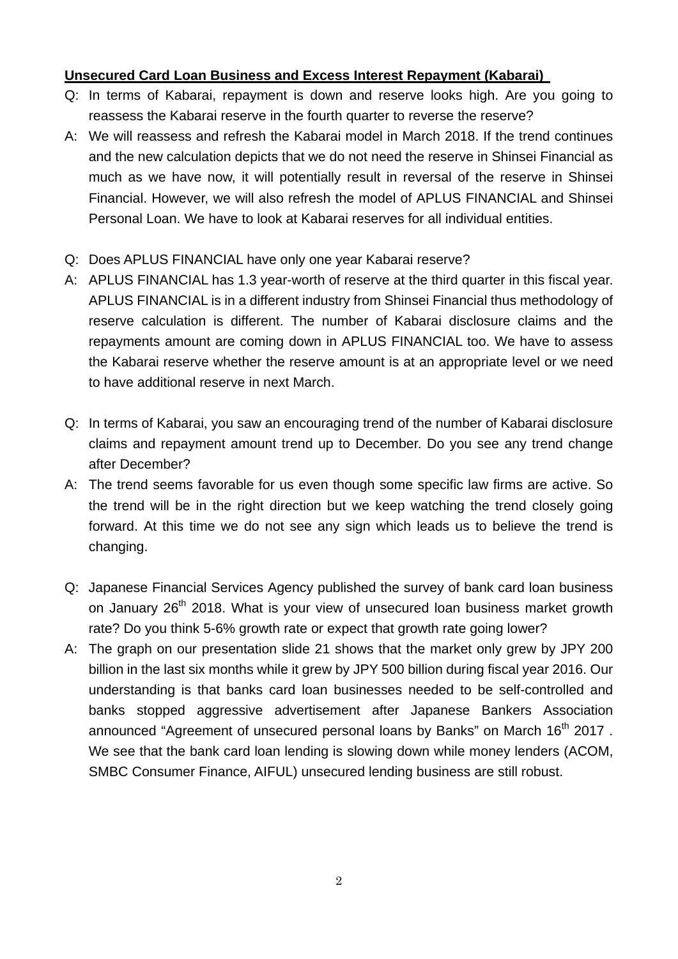### **Unsecured Card Loan Business and Excess Interest Repayment (Kabarai)**

- Q: In terms of Kabarai, repayment is down and reserve looks high. Are you going to reassess the Kabarai reserve in the fourth quarter to reverse the reserve?
- A: We will reassess and refresh the Kabarai model in March 2018. If the trend continues and the new calculation depicts that we do not need the reserve in Shinsei Financial as much as we have now, it will potentially result in reversal of the reserve in Shinsei Financial. However, we will also refresh the model of APLUS FINANCIAL and Shinsei Personal Loan. We have to look at Kabarai reserves for all individual entities.
- Q: Does APLUS FINANCIAL have only one year Kabarai reserve?
- A: APLUS FINANCIAL has 1.3 year-worth of reserve at the third quarter in this fiscal year. APLUS FINANCIAL is in a different industry from Shinsei Financial thus methodology of reserve calculation is different. The number of Kabarai disclosure claims and the repayments amount are coming down in APLUS FINANCIAL too. We have to assess the Kabarai reserve whether the reserve amount is at an appropriate level or we need to have additional reserve in next March.
- Q: In terms of Kabarai, you saw an encouraging trend of the number of Kabarai disclosure claims and repayment amount trend up to December. Do you see any trend change after December?
- A: The trend seems favorable for us even though some specific law firms are active. So the trend will be in the right direction but we keep watching the trend closely going forward. At this time we do not see any sign which leads us to believe the trend is changing.
- Q: Japanese Financial Services Agency published the survey of bank card loan business on January 26<sup>th</sup> 2018. What is your view of unsecured loan business market growth rate? Do you think 5-6% growth rate or expect that growth rate going lower?
- A: The graph on our presentation slide 21 shows that the market only grew by JPY 200 billion in the last six months while it grew by JPY 500 billion during fiscal year 2016. Our understanding is that banks card loan businesses needed to be self-controlled and banks stopped aggressive advertisement after Japanese Bankers Association announced "Agreement of unsecured personal loans by Banks" on March 16<sup>th</sup> 2017. We see that the bank card loan lending is slowing down while money lenders (ACOM, SMBC Consumer Finance, AIFUL) unsecured lending business are still robust.